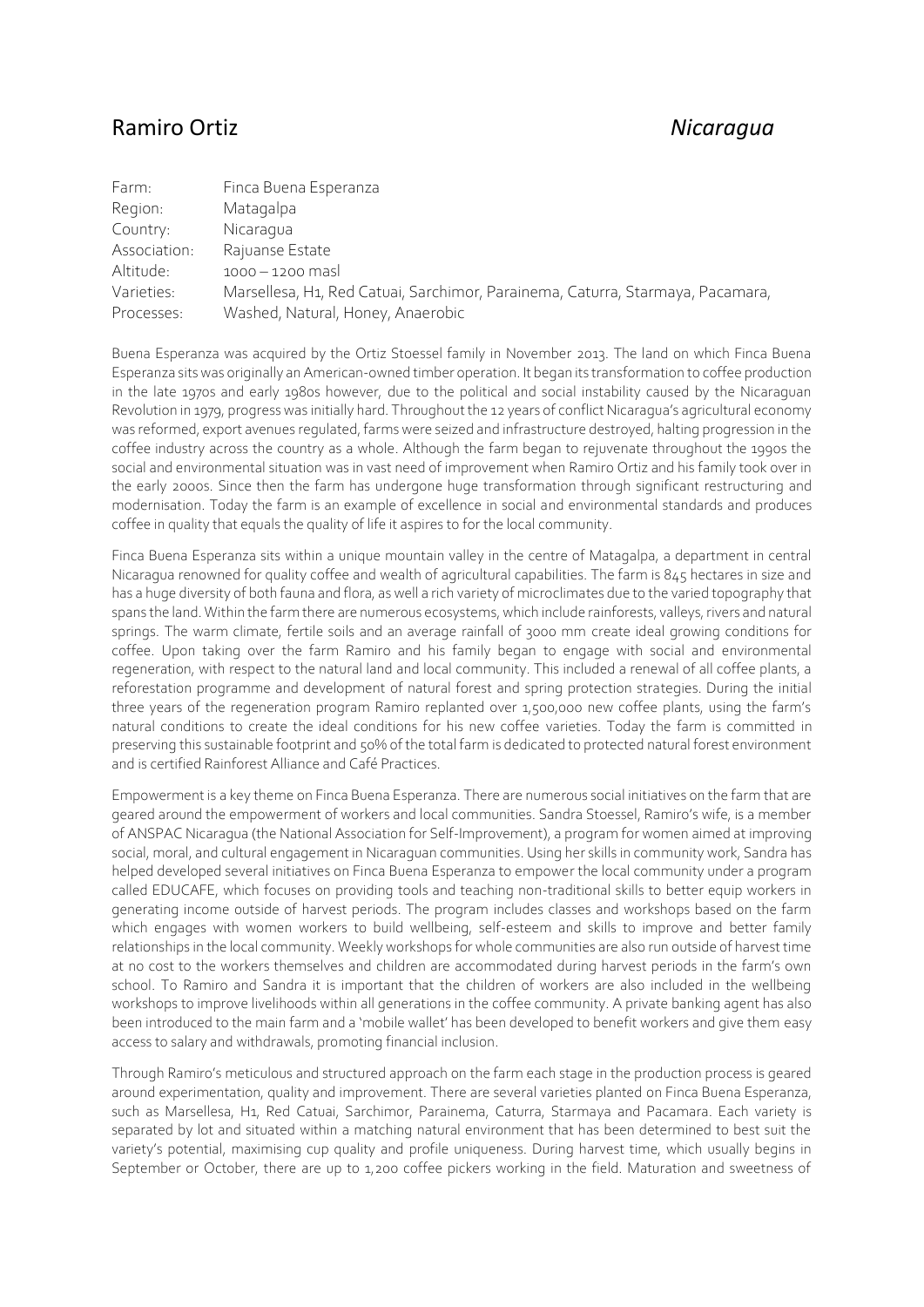## Ramiro Ortiz *Nicaragua*

| Farm:        | Finca Buena Esperanza                                                          |
|--------------|--------------------------------------------------------------------------------|
| Region:      | Matagalpa                                                                      |
| Country:     | Nicaragua                                                                      |
| Association: | Rajuanse Estate                                                                |
| Altitude:    | $1000 - 1200$ mas                                                              |
| Varieties:   | Marsellesa, H1, Red Catuai, Sarchimor, Parainema, Caturra, Starmaya, Pacamara, |
| Processes:   | Washed, Natural, Honey, Anaerobic                                              |

Buena Esperanza was acquired by the Ortiz Stoessel family in November 2013. The land on which Finca Buena Esperanza sits was originally an American-owned timber operation. It began its transformation to coffee production in the late 1970s and early 1980s however, due to the political and social instability caused by the Nicaraguan Revolution in 1979, progress was initially hard. Throughout the 12 years of conflict Nicaragua's agricultural economy was reformed, export avenues regulated, farms were seized and infrastructure destroyed, halting progression in the coffee industry across the country as a whole. Although the farm began to rejuvenate throughout the 1990s the social and environmental situation was in vast need of improvement when Ramiro Ortiz and his family took over in the early 2000s. Since then the farm has undergone huge transformation through significant restructuring and modernisation. Today the farm is an example of excellence in social and environmental standards and produces coffee in quality that equals the quality of life it aspires to for the local community.

Finca Buena Esperanza sits within a unique mountain valley in the centre of Matagalpa, a department in central Nicaragua renowned for quality coffee and wealth of agricultural capabilities. The farm is 845 hectares in size and has a huge diversity of both fauna and flora, as well a rich variety of microclimates due to the varied topography that spans the land. Within the farm there are numerous ecosystems, which include rainforests, valleys, rivers and natural springs. The warm climate, fertile soils and an average rainfall of 3000 mm create ideal growing conditions for coffee. Upon taking over the farm Ramiro and his family began to engage with social and environmental regeneration, with respect to the natural land and local community. This included a renewal of all coffee plants, a reforestation programme and development of natural forest and spring protection strategies. During the initial three years of the regeneration program Ramiro replanted over 1,500,000 new coffee plants, using the farm's natural conditions to create the ideal conditions for his new coffee varieties. Today the farm is committed in preserving thissustainable footprint and 50% of the total farm is dedicated to protected natural forest environment and is certified Rainforest Alliance and Café Practices.

Empowerment is a key theme on Finca Buena Esperanza. There are numerous social initiatives on the farm that are geared around the empowerment of workers and local communities. Sandra Stoessel, Ramiro's wife, is a member of ANSPAC Nicaragua (the National Association for Self-Improvement), a program for women aimed at improving social, moral, and cultural engagement in Nicaraguan communities. Using her skills in community work, Sandra has helped developed several initiatives on Finca Buena Esperanza to empower the local community under a program called EDUCAFE, which focuses on providing tools and teaching non-traditional skills to better equip workers in generating income outside of harvest periods. The program includes classes and workshops based on the farm which engages with women workers to build wellbeing, self-esteem and skills to improve and better family relationships in the local community. Weekly workshops for whole communities are also run outside of harvest time at no cost to the workers themselves and children are accommodated during harvest periods in the farm's own school. To Ramiro and Sandra it is important that the children of workers are also included in the wellbeing workshops to improve livelihoods within all generations in the coffee community. A private banking agent has also been introduced to the main farm and a 'mobile wallet' has been developed to benefit workers and give them easy access to salary and withdrawals, promoting financial inclusion.

Through Ramiro's meticulous and structured approach on the farm each stage in the production process is geared around experimentation, quality and improvement. There are several varieties planted on Finca Buena Esperanza, such as Marsellesa, H1, Red Catuai, Sarchimor, Parainema, Caturra, Starmaya and Pacamara. Each variety is separated by lot and situated within a matching natural environment that has been determined to best suit the variety's potential, maximising cup quality and profile uniqueness. During harvest time, which usually begins in September or October, there are up to 1,200 coffee pickers working in the field. Maturation and sweetness of